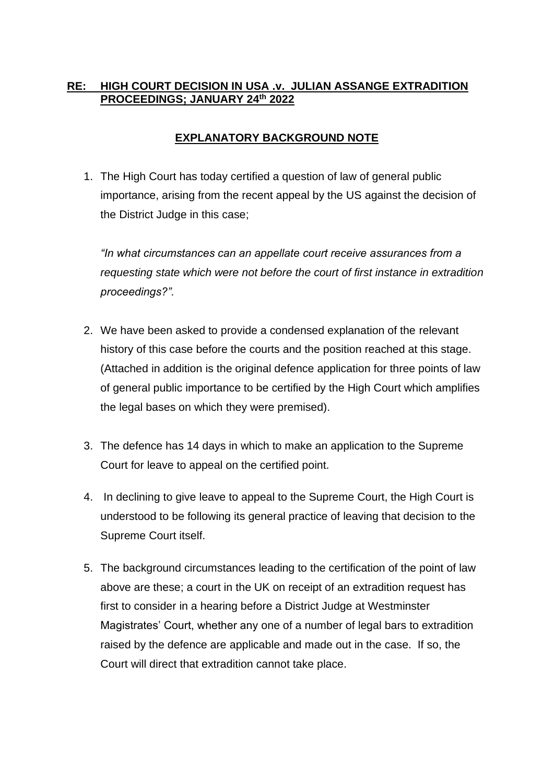## **RE: HIGH COURT DECISION IN USA .v. JULIAN ASSANGE EXTRADITION PROCEEDINGS; JANUARY 24th 2022**

## **EXPLANATORY BACKGROUND NOTE**

1. The High Court has today certified a question of law of general public importance, arising from the recent appeal by the US against the decision of the District Judge in this case;

*"In what circumstances can an appellate court receive assurances from a requesting state which were not before the court of first instance in extradition proceedings?".*

- 2. We have been asked to provide a condensed explanation of the relevant history of this case before the courts and the position reached at this stage. (Attached in addition is the original defence application for three points of law of general public importance to be certified by the High Court which amplifies the legal bases on which they were premised).
- 3. The defence has 14 days in which to make an application to the Supreme Court for leave to appeal on the certified point.
- 4. In declining to give leave to appeal to the Supreme Court, the High Court is understood to be following its general practice of leaving that decision to the Supreme Court itself.
- 5. The background circumstances leading to the certification of the point of law above are these; a court in the UK on receipt of an extradition request has first to consider in a hearing before a District Judge at Westminster Magistrates' Court, whether any one of a number of legal bars to extradition raised by the defence are applicable and made out in the case. If so, the Court will direct that extradition cannot take place.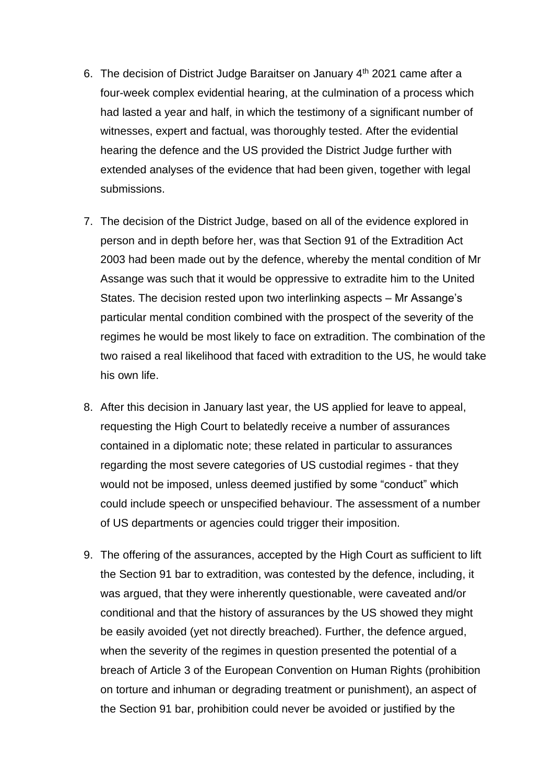- 6. The decision of District Judge Baraitser on January 4<sup>th</sup> 2021 came after a four-week complex evidential hearing, at the culmination of a process which had lasted a year and half, in which the testimony of a significant number of witnesses, expert and factual, was thoroughly tested. After the evidential hearing the defence and the US provided the District Judge further with extended analyses of the evidence that had been given, together with legal submissions.
- 7. The decision of the District Judge, based on all of the evidence explored in person and in depth before her, was that Section 91 of the Extradition Act 2003 had been made out by the defence, whereby the mental condition of Mr Assange was such that it would be oppressive to extradite him to the United States. The decision rested upon two interlinking aspects – Mr Assange's particular mental condition combined with the prospect of the severity of the regimes he would be most likely to face on extradition. The combination of the two raised a real likelihood that faced with extradition to the US, he would take his own life.
- 8. After this decision in January last year, the US applied for leave to appeal, requesting the High Court to belatedly receive a number of assurances contained in a diplomatic note; these related in particular to assurances regarding the most severe categories of US custodial regimes - that they would not be imposed, unless deemed justified by some "conduct" which could include speech or unspecified behaviour. The assessment of a number of US departments or agencies could trigger their imposition.
- 9. The offering of the assurances, accepted by the High Court as sufficient to lift the Section 91 bar to extradition, was contested by the defence, including, it was argued, that they were inherently questionable, were caveated and/or conditional and that the history of assurances by the US showed they might be easily avoided (yet not directly breached). Further, the defence argued, when the severity of the regimes in question presented the potential of a breach of Article 3 of the European Convention on Human Rights (prohibition on torture and inhuman or degrading treatment or punishment), an aspect of the Section 91 bar, prohibition could never be avoided or justified by the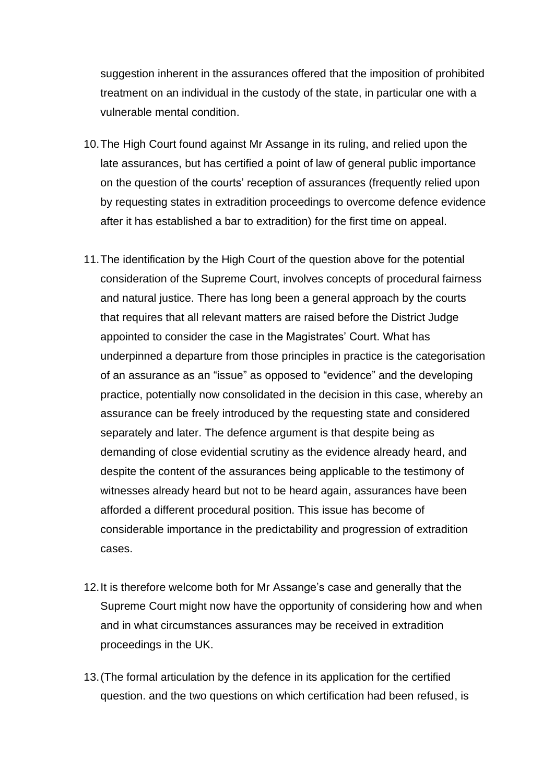suggestion inherent in the assurances offered that the imposition of prohibited treatment on an individual in the custody of the state, in particular one with a vulnerable mental condition.

- 10.The High Court found against Mr Assange in its ruling, and relied upon the late assurances, but has certified a point of law of general public importance on the question of the courts' reception of assurances (frequently relied upon by requesting states in extradition proceedings to overcome defence evidence after it has established a bar to extradition) for the first time on appeal.
- 11.The identification by the High Court of the question above for the potential consideration of the Supreme Court, involves concepts of procedural fairness and natural justice. There has long been a general approach by the courts that requires that all relevant matters are raised before the District Judge appointed to consider the case in the Magistrates' Court. What has underpinned a departure from those principles in practice is the categorisation of an assurance as an "issue" as opposed to "evidence" and the developing practice, potentially now consolidated in the decision in this case, whereby an assurance can be freely introduced by the requesting state and considered separately and later. The defence argument is that despite being as demanding of close evidential scrutiny as the evidence already heard, and despite the content of the assurances being applicable to the testimony of witnesses already heard but not to be heard again, assurances have been afforded a different procedural position. This issue has become of considerable importance in the predictability and progression of extradition cases.
- 12.It is therefore welcome both for Mr Assange's case and generally that the Supreme Court might now have the opportunity of considering how and when and in what circumstances assurances may be received in extradition proceedings in the UK.
- 13.(The formal articulation by the defence in its application for the certified question. and the two questions on which certification had been refused, is